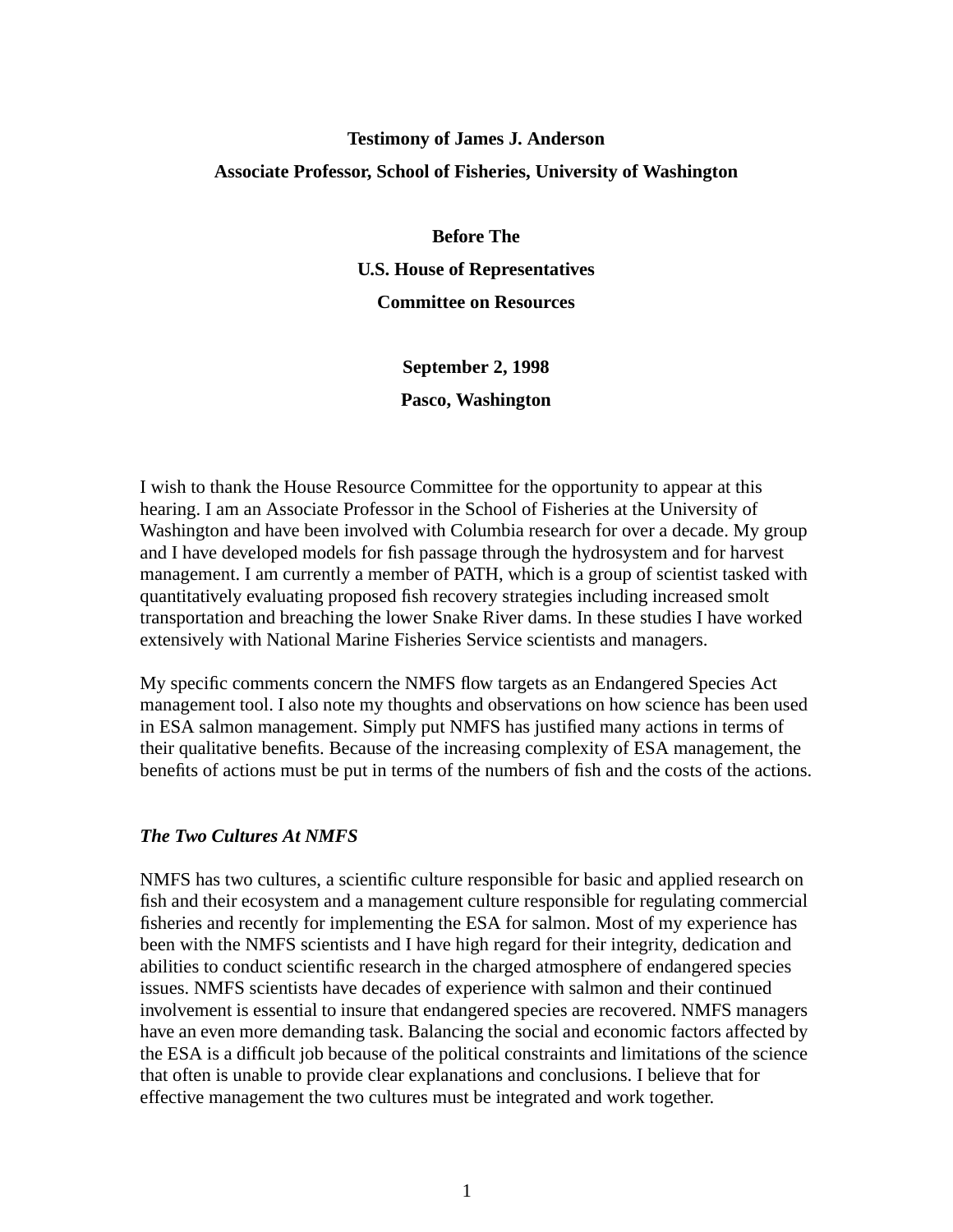# **Testimony of James J. Anderson Associate Professor, School of Fisheries, University of Washington**

**Before The U.S. House of Representatives Committee on Resources**

> **September 2, 1998 Pasco, Washington**

I wish to thank the House Resource Committee for the opportunity to appear at this hearing. I am an Associate Professor in the School of Fisheries at the University of Washington and have been involved with Columbia research for over a decade. My group and I have developed models for fish passage through the hydrosystem and for harvest management. I am currently a member of PATH, which is a group of scientist tasked with quantitatively evaluating proposed fish recovery strategies including increased smolt transportation and breaching the lower Snake River dams. In these studies I have worked extensively with National Marine Fisheries Service scientists and managers.

My specific comments concern the NMFS flow targets as an Endangered Species Act management tool. I also note my thoughts and observations on how science has been used in ESA salmon management. Simply put NMFS has justified many actions in terms of their qualitative benefits. Because of the increasing complexity of ESA management, the benefits of actions must be put in terms of the numbers of fish and the costs of the actions.

## *The Two Cultures At NMFS*

NMFS has two cultures, a scientific culture responsible for basic and applied research on fish and their ecosystem and a management culture responsible for regulating commercial fisheries and recently for implementing the ESA for salmon. Most of my experience has been with the NMFS scientists and I have high regard for their integrity, dedication and abilities to conduct scientific research in the charged atmosphere of endangered species issues. NMFS scientists have decades of experience with salmon and their continued involvement is essential to insure that endangered species are recovered. NMFS managers have an even more demanding task. Balancing the social and economic factors affected by the ESA is a difficult job because of the political constraints and limitations of the science that often is unable to provide clear explanations and conclusions. I believe that for effective management the two cultures must be integrated and work together.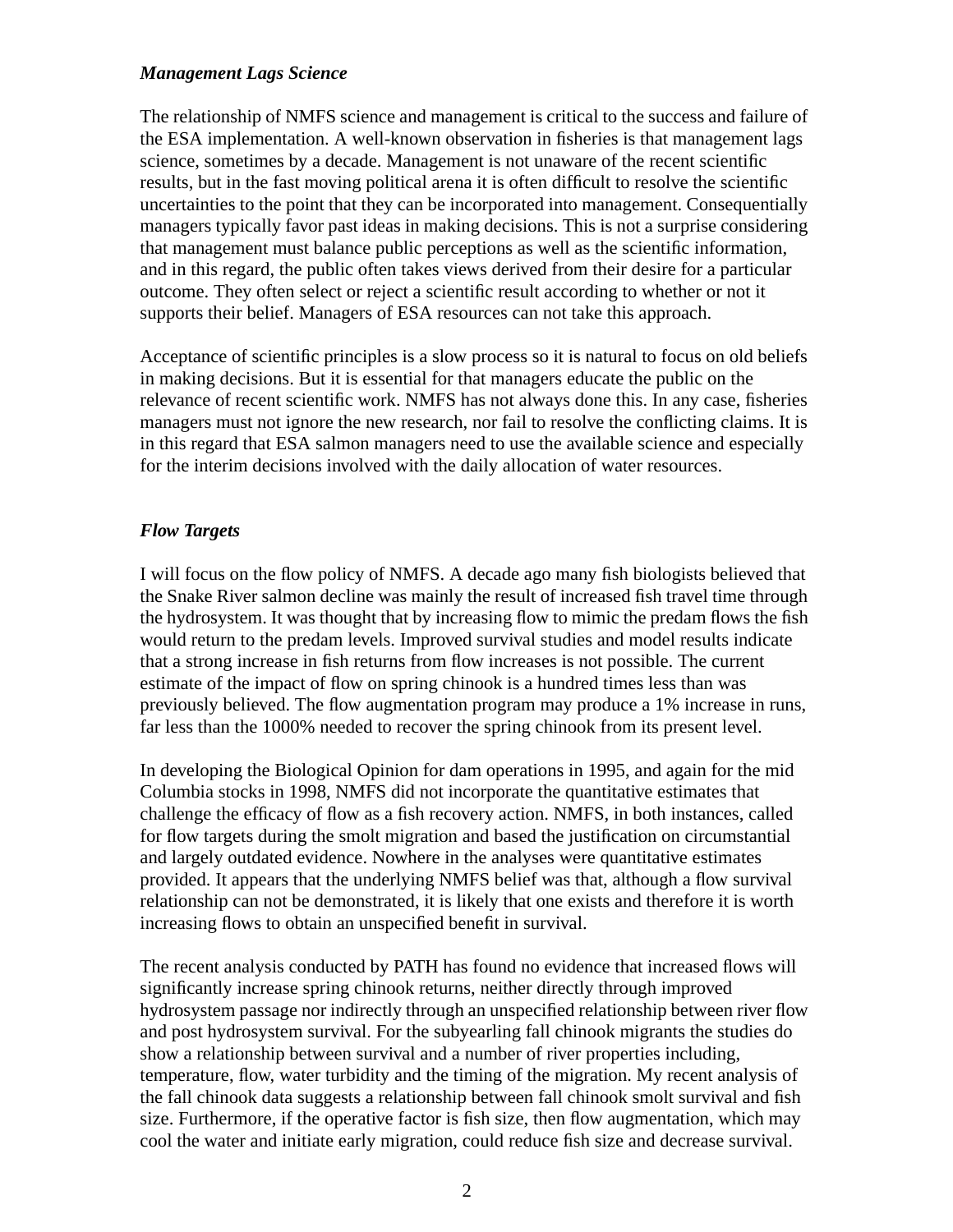#### *Management Lags Science*

The relationship of NMFS science and management is critical to the success and failure of the ESA implementation. A well-known observation in fisheries is that management lags science, sometimes by a decade. Management is not unaware of the recent scientific results, but in the fast moving political arena it is often difficult to resolve the scientific uncertainties to the point that they can be incorporated into management. Consequentially managers typically favor past ideas in making decisions. This is not a surprise considering that management must balance public perceptions as well as the scientific information, and in this regard, the public often takes views derived from their desire for a particular outcome. They often select or reject a scientific result according to whether or not it supports their belief. Managers of ESA resources can not take this approach.

Acceptance of scientific principles is a slow process so it is natural to focus on old beliefs in making decisions. But it is essential for that managers educate the public on the relevance of recent scientific work. NMFS has not always done this. In any case, fisheries managers must not ignore the new research, nor fail to resolve the conflicting claims. It is in this regard that ESA salmon managers need to use the available science and especially for the interim decisions involved with the daily allocation of water resources.

## *Flow Targets*

I will focus on the flow policy of NMFS. A decade ago many fish biologists believed that the Snake River salmon decline was mainly the result of increased fish travel time through the hydrosystem. It was thought that by increasing flow to mimic the predam flows the fish would return to the predam levels. Improved survival studies and model results indicate that a strong increase in fish returns from flow increases is not possible. The current estimate of the impact of flow on spring chinook is a hundred times less than was previously believed. The flow augmentation program may produce a 1% increase in runs, far less than the 1000% needed to recover the spring chinook from its present level.

In developing the Biological Opinion for dam operations in 1995, and again for the mid Columbia stocks in 1998, NMFS did not incorporate the quantitative estimates that challenge the efficacy of flow as a fish recovery action. NMFS, in both instances, called for flow targets during the smolt migration and based the justification on circumstantial and largely outdated evidence. Nowhere in the analyses were quantitative estimates provided. It appears that the underlying NMFS belief was that, although a flow survival relationship can not be demonstrated, it is likely that one exists and therefore it is worth increasing flows to obtain an unspecified benefit in survival.

The recent analysis conducted by PATH has found no evidence that increased flows will significantly increase spring chinook returns, neither directly through improved hydrosystem passage nor indirectly through an unspecified relationship between river flow and post hydrosystem survival. For the subyearling fall chinook migrants the studies do show a relationship between survival and a number of river properties including, temperature, flow, water turbidity and the timing of the migration. My recent analysis of the fall chinook data suggests a relationship between fall chinook smolt survival and fish size. Furthermore, if the operative factor is fish size, then flow augmentation, which may cool the water and initiate early migration, could reduce fish size and decrease survival.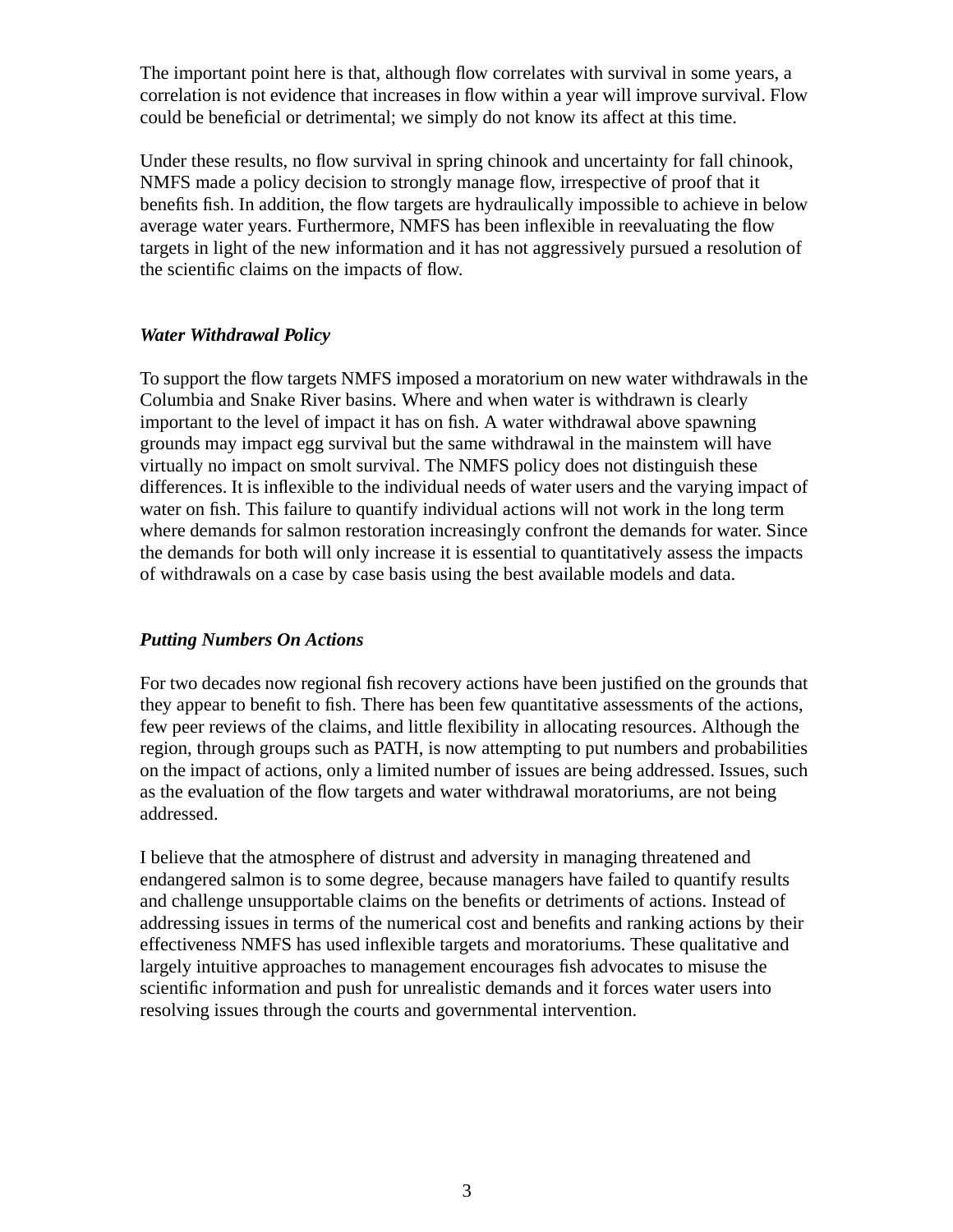The important point here is that, although flow correlates with survival in some years, a correlation is not evidence that increases in flow within a year will improve survival. Flow could be beneficial or detrimental; we simply do not know its affect at this time.

Under these results, no flow survival in spring chinook and uncertainty for fall chinook, NMFS made a policy decision to strongly manage flow, irrespective of proof that it benefits fish. In addition, the flow targets are hydraulically impossible to achieve in below average water years. Furthermore, NMFS has been inflexible in reevaluating the flow targets in light of the new information and it has not aggressively pursued a resolution of the scientific claims on the impacts of flow.

## *Water Withdrawal Policy*

To support the flow targets NMFS imposed a moratorium on new water withdrawals in the Columbia and Snake River basins. Where and when water is withdrawn is clearly important to the level of impact it has on fish. A water withdrawal above spawning grounds may impact egg survival but the same withdrawal in the mainstem will have virtually no impact on smolt survival. The NMFS policy does not distinguish these differences. It is inflexible to the individual needs of water users and the varying impact of water on fish. This failure to quantify individual actions will not work in the long term where demands for salmon restoration increasingly confront the demands for water. Since the demands for both will only increase it is essential to quantitatively assess the impacts of withdrawals on a case by case basis using the best available models and data.

#### *Putting Numbers On Actions*

For two decades now regional fish recovery actions have been justified on the grounds that they appear to benefit to fish. There has been few quantitative assessments of the actions, few peer reviews of the claims, and little flexibility in allocating resources. Although the region, through groups such as PATH, is now attempting to put numbers and probabilities on the impact of actions, only a limited number of issues are being addressed. Issues, such as the evaluation of the flow targets and water withdrawal moratoriums, are not being addressed.

I believe that the atmosphere of distrust and adversity in managing threatened and endangered salmon is to some degree, because managers have failed to quantify results and challenge unsupportable claims on the benefits or detriments of actions. Instead of addressing issues in terms of the numerical cost and benefits and ranking actions by their effectiveness NMFS has used inflexible targets and moratoriums. These qualitative and largely intuitive approaches to management encourages fish advocates to misuse the scientific information and push for unrealistic demands and it forces water users into resolving issues through the courts and governmental intervention.